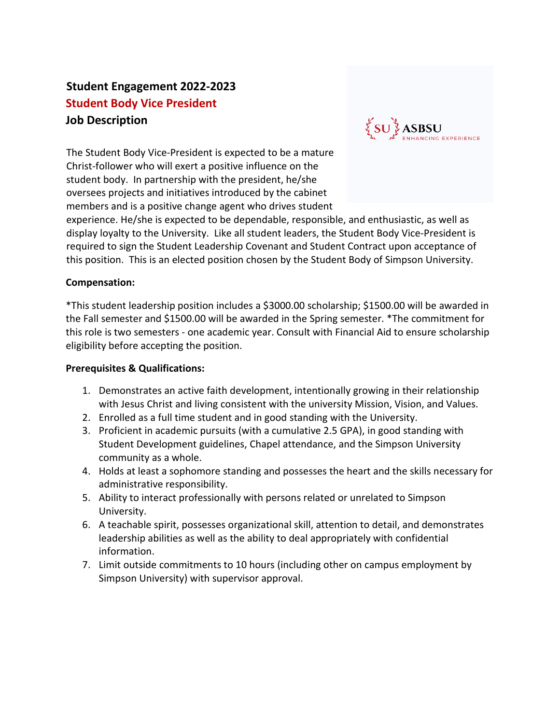# **Student Engagement 2022-2023 Student Body Vice President Job Description**

The Student Body Vice-President is expected to be a mature Christ-follower who will exert a positive influence on the student body. In partnership with the president, he/she oversees projects and initiatives introduced by the cabinet members and is a positive change agent who drives student



experience. He/she is expected to be dependable, responsible, and enthusiastic, as well as display loyalty to the University. Like all student leaders, the Student Body Vice-President is required to sign the Student Leadership Covenant and Student Contract upon acceptance of this position. This is an elected position chosen by the Student Body of Simpson University.

### **Compensation:**

\*This student leadership position includes a \$3000.00 scholarship; \$1500.00 will be awarded in the Fall semester and \$1500.00 will be awarded in the Spring semester. \*The commitment for this role is two semesters - one academic year. Consult with Financial Aid to ensure scholarship eligibility before accepting the position.

#### **Prerequisites & Qualifications:**

- 1. Demonstrates an active faith development, intentionally growing in their relationship with Jesus Christ and living consistent with the university Mission, Vision, and Values.
- 2. Enrolled as a full time student and in good standing with the University.
- 3. Proficient in academic pursuits (with a cumulative 2.5 GPA), in good standing with Student Development guidelines, Chapel attendance, and the Simpson University community as a whole.
- 4. Holds at least a sophomore standing and possesses the heart and the skills necessary for administrative responsibility.
- 5. Ability to interact professionally with persons related or unrelated to Simpson University.
- 6. A teachable spirit, possesses organizational skill, attention to detail, and demonstrates leadership abilities as well as the ability to deal appropriately with confidential information.
- 7. Limit outside commitments to 10 hours (including other on campus employment by Simpson University) with supervisor approval.